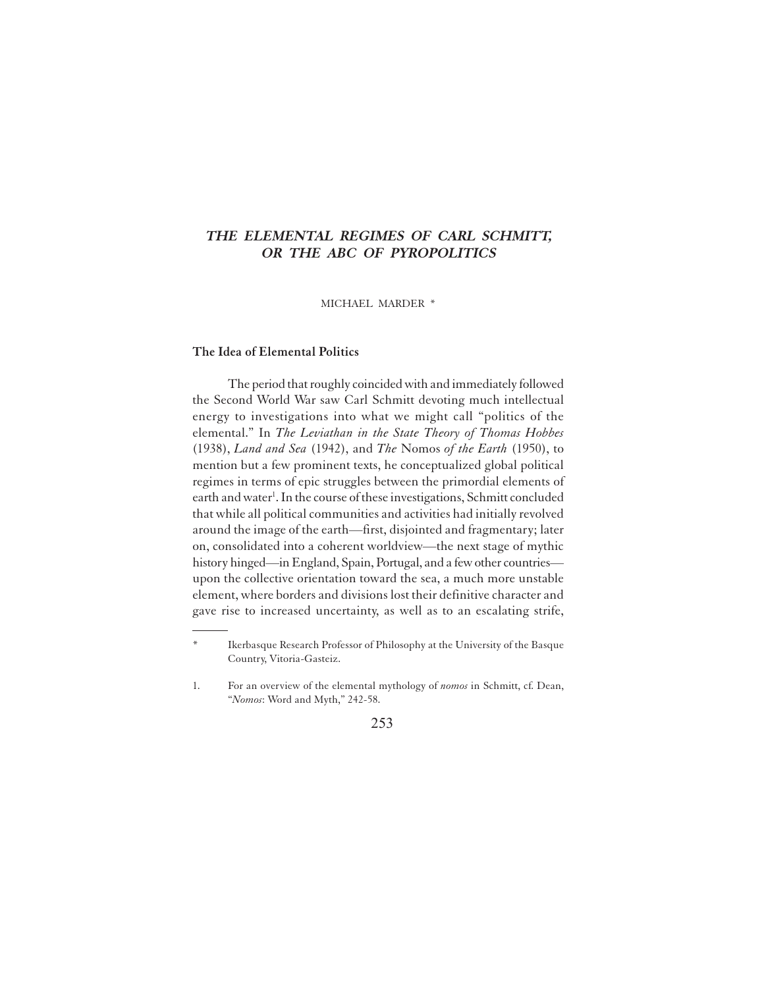# **THE ELEMENTAL REGIMES OF CARL SCHMITT, OR THE ABC OF PYROPOLITICS**

MICHAEL MARDER \*

# **The Idea of Elemental Politics**

The period that roughly coincided with and immediately followed the Second World War saw Carl Schmitt devoting much intellectual energy to investigations into what we might call "politics of the elemental." In *The Leviathan in the State Theory of Thomas Hobbes* (1938), *Land and Sea* (1942), and *The* Nomos *of the Earth* (1950), to mention but a few prominent texts, he conceptualized global political regimes in terms of epic struggles between the primordial elements of earth and water<sup>1</sup>. In the course of these investigations, Schmitt concluded that while all political communities and activities had initially revolved around the image of the earth—first, disjointed and fragmentary; later on, consolidated into a coherent worldview—the next stage of mythic history hinged—in England, Spain, Portugal, and a few other countries upon the collective orientation toward the sea, a much more unstable element, where borders and divisions lost their definitive character and gave rise to increased uncertainty, as well as to an escalating strife,

Ikerbasque Research Professor of Philosophy at the University of the Basque Country, Vitoria-Gasteiz.

<sup>1.</sup> For an overview of the elemental mythology of *nomos* in Schmitt, cf. Dean, "*Nomos*: Word and Myth," 242-58.

<sup>253</sup>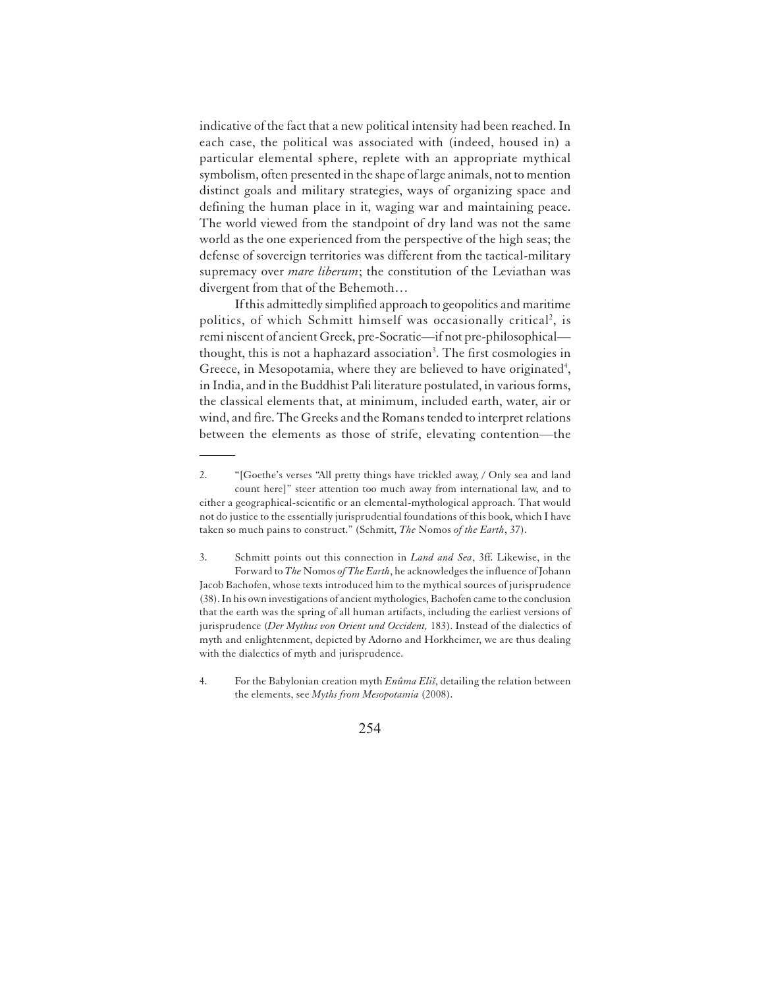indicative of the fact that a new political intensity had been reached. In each case, the political was associated with (indeed, housed in) a particular elemental sphere, replete with an appropriate mythical symbolism, often presented in the shape of large animals, not to mention distinct goals and military strategies, ways of organizing space and defining the human place in it, waging war and maintaining peace. The world viewed from the standpoint of dry land was not the same world as the one experienced from the perspective of the high seas; the defense of sovereign territories was different from the tactical-military supremacy over *mare liberum*; the constitution of the Leviathan was divergent from that of the Behemoth…

If this admittedly simplified approach to geopolitics and maritime politics, of which Schmitt himself was occasionally critical<sup>2</sup>, is remi niscent of ancient Greek, pre-Socratic—if not pre-philosophical thought, this is not a haphazard association<sup>3</sup>. The first cosmologies in Greece, in Mesopotamia, where they are believed to have originated<sup>4</sup>, in India, and in the Buddhist Pali literature postulated, in various forms, the classical elements that, at minimum, included earth, water, air or wind, and fire. The Greeks and the Romans tended to interpret relations between the elements as those of strife, elevating contention—the

<sup>2.</sup> "[Goethe's verses "All pretty things have trickled away, / Only sea and land count here]" steer attention too much away from international law, and to either a geographical-scientific or an elemental-mythological approach. That would not do justice to the essentially jurisprudential foundations of this book, which I have taken so much pains to construct." (Schmitt, *The* Nomos *of the Earth*, 37).

<sup>3.</sup> Schmitt points out this connection in *Land and Sea*, 3ff. Likewise, in the Forward to *The* Nomos *of The Earth*, he acknowledges the influence of Johann Jacob Bachofen, whose texts introduced him to the mythical sources of jurisprudence (38). In his own investigations of ancient mythologies, Bachofen came to the conclusion that the earth was the spring of all human artifacts, including the earliest versions of jurisprudence (*Der Mythus von Orient und Occident,* 183). Instead of the dialectics of myth and enlightenment, depicted by Adorno and Horkheimer, we are thus dealing with the dialectics of myth and jurisprudence.

<sup>4.</sup> For the Babylonian creation myth *Enûma Eliš*, detailing the relation between the elements, see *Myths from Mesopotamia* (2008).

<sup>254</sup>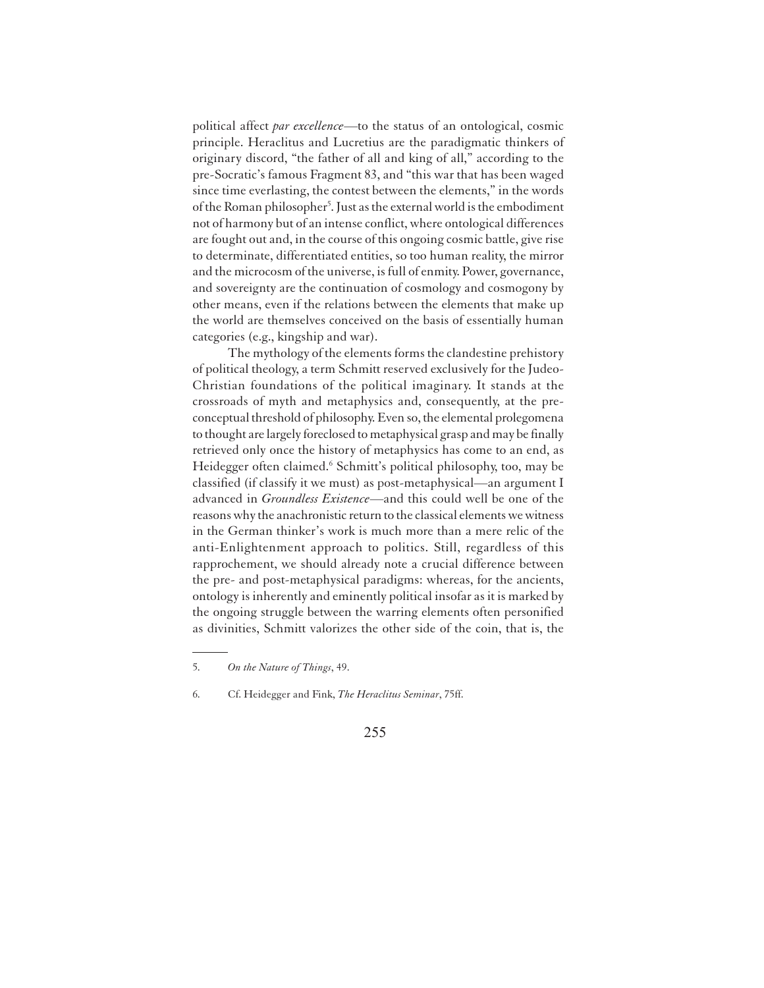political affect *par excellence*—to the status of an ontological, cosmic principle. Heraclitus and Lucretius are the paradigmatic thinkers of originary discord, "the father of all and king of all," according to the pre-Socratic's famous Fragment 83, and "this war that has been waged since time everlasting, the contest between the elements," in the words of the Roman philosopher<sup>5</sup>. Just as the external world is the embodiment not of harmony but of an intense conflict, where ontological differences are fought out and, in the course of this ongoing cosmic battle, give rise to determinate, differentiated entities, so too human reality, the mirror and the microcosm of the universe, is full of enmity. Power, governance, and sovereignty are the continuation of cosmology and cosmogony by other means, even if the relations between the elements that make up the world are themselves conceived on the basis of essentially human categories (e.g., kingship and war).

The mythology of the elements forms the clandestine prehistory of political theology, a term Schmitt reserved exclusively for the Judeo-Christian foundations of the political imaginary. It stands at the crossroads of myth and metaphysics and, consequently, at the preconceptual threshold of philosophy. Even so, the elemental prolegomena to thought are largely foreclosed to metaphysical grasp and may be finally retrieved only once the history of metaphysics has come to an end, as Heidegger often claimed.<sup>6</sup> Schmitt's political philosophy, too, may be classified (if classify it we must) as post-metaphysical—an argument I advanced in *Groundless Existence*—and this could well be one of the reasons why the anachronistic return to the classical elements we witness in the German thinker's work is much more than a mere relic of the anti-Enlightenment approach to politics. Still, regardless of this rapprochement, we should already note a crucial difference between the pre- and post-metaphysical paradigms: whereas, for the ancients, ontology is inherently and eminently political insofar as it is marked by the ongoing struggle between the warring elements often personified as divinities, Schmitt valorizes the other side of the coin, that is, the

<sup>5.</sup> *On the Nature of Things*, 49.

<sup>6.</sup> Cf. Heidegger and Fink, *The Heraclitus Seminar*, 75ff.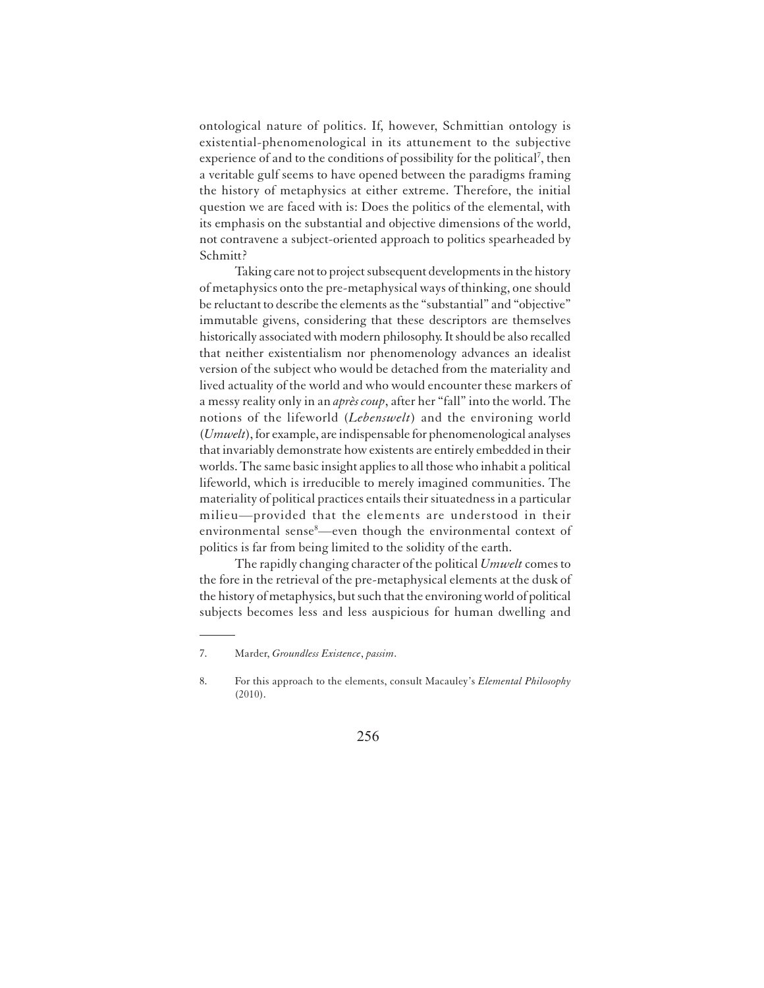ontological nature of politics. If, however, Schmittian ontology is existential-phenomenological in its attunement to the subjective experience of and to the conditions of possibility for the political<sup>7</sup>, then a veritable gulf seems to have opened between the paradigms framing the history of metaphysics at either extreme. Therefore, the initial question we are faced with is: Does the politics of the elemental, with its emphasis on the substantial and objective dimensions of the world, not contravene a subject-oriented approach to politics spearheaded by Schmitt?

Taking care not to project subsequent developments in the history of metaphysics onto the pre-metaphysical ways of thinking, one should be reluctant to describe the elements as the "substantial" and "objective" immutable givens, considering that these descriptors are themselves historically associated with modern philosophy. It should be also recalled that neither existentialism nor phenomenology advances an idealist version of the subject who would be detached from the materiality and lived actuality of the world and who would encounter these markers of a messy reality only in an *après coup*, after her "fall" into the world. The notions of the lifeworld (*Lebenswelt*) and the environing world (*Umwelt*), for example, are indispensable for phenomenological analyses that invariably demonstrate how existents are entirely embedded in their worlds. The same basic insight applies to all those who inhabit a political lifeworld, which is irreducible to merely imagined communities. The materiality of political practices entails their situatedness in a particular milieu—provided that the elements are understood in their environmental sense<sup>8</sup>—even though the environmental context of politics is far from being limited to the solidity of the earth.

The rapidly changing character of the political *Umwelt* comes to the fore in the retrieval of the pre-metaphysical elements at the dusk of the history of metaphysics, but such that the environing world of political subjects becomes less and less auspicious for human dwelling and

<sup>7.</sup> Marder, *Groundless Existence*, *passim*.

<sup>8.</sup> For this approach to the elements, consult Macauley's *Elemental Philosophy* (2010).

<sup>256</sup>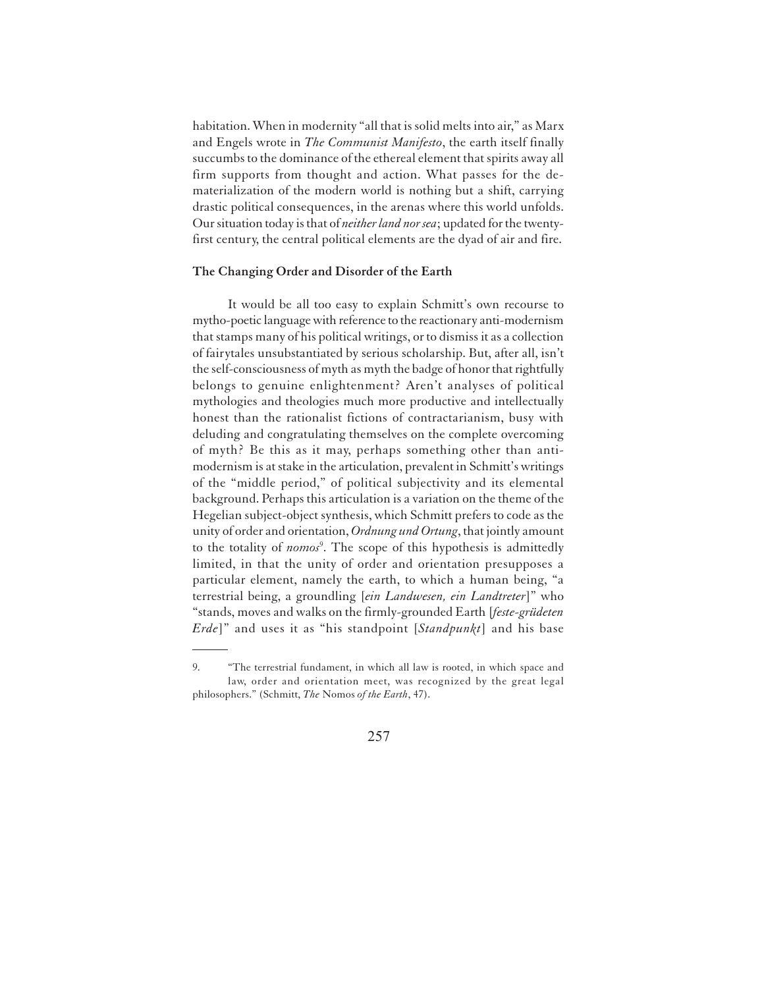habitation. When in modernity "all that is solid melts into air," as Marx and Engels wrote in *The Communist Manifesto*, the earth itself finally succumbs to the dominance of the ethereal element that spirits away all firm supports from thought and action. What passes for the dematerialization of the modern world is nothing but a shift, carrying drastic political consequences, in the arenas where this world unfolds. Our situation today is that of *neither land nor sea*; updated for the twentyfirst century, the central political elements are the dyad of air and fire.

#### **The Changing Order and Disorder of the Earth**

It would be all too easy to explain Schmitt's own recourse to mytho-poetic language with reference to the reactionary anti-modernism that stamps many of his political writings, or to dismiss it as a collection of fairytales unsubstantiated by serious scholarship. But, after all, isn't the self-consciousness of myth as myth the badge of honor that rightfully belongs to genuine enlightenment? Aren't analyses of political mythologies and theologies much more productive and intellectually honest than the rationalist fictions of contractarianism, busy with deluding and congratulating themselves on the complete overcoming of myth? Be this as it may, perhaps something other than antimodernism is at stake in the articulation, prevalent in Schmitt's writings of the "middle period," of political subjectivity and its elemental background. Perhaps this articulation is a variation on the theme of the Hegelian subject-object synthesis, which Schmitt prefers to code as the unity of order and orientation, *Ordnung und Ortung*, that jointly amount to the totality of *nomos*<sup>9</sup> . The scope of this hypothesis is admittedly limited, in that the unity of order and orientation presupposes a particular element, namely the earth, to which a human being, "a terrestrial being, a groundling [*ein Landwesen, ein Landtreter*]" who "stands, moves and walks on the firmly-grounded Earth [*feste-grüdeten Erde*]" and uses it as "his standpoint [*Standpunkt*] and his base

<sup>9.</sup> "The terrestrial fundament, in which all law is rooted, in which space and law, order and orientation meet, was recognized by the great legal philosophers." (Schmitt, *The* Nomos *of the Earth*, 47).

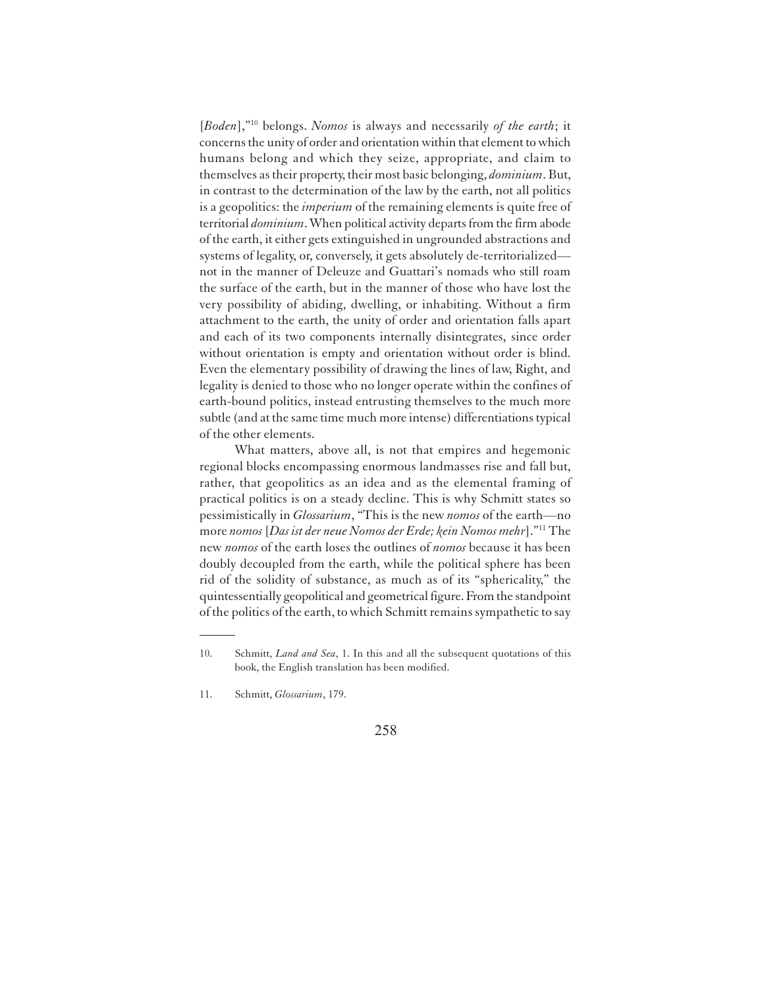[*Boden*],"<sup>10</sup> belongs. *Nomos* is always and necessarily *of the earth*; it concerns the unity of order and orientation within that element to which humans belong and which they seize, appropriate, and claim to themselves as their property, their most basic belonging, *dominium*. But, in contrast to the determination of the law by the earth, not all politics is a geopolitics: the *imperium* of the remaining elements is quite free of territorial *dominium*. When political activity departs from the firm abode of the earth, it either gets extinguished in ungrounded abstractions and systems of legality, or, conversely, it gets absolutely de-territorialized not in the manner of Deleuze and Guattari's nomads who still roam the surface of the earth, but in the manner of those who have lost the very possibility of abiding, dwelling, or inhabiting. Without a firm attachment to the earth, the unity of order and orientation falls apart and each of its two components internally disintegrates, since order without orientation is empty and orientation without order is blind. Even the elementary possibility of drawing the lines of law, Right, and legality is denied to those who no longer operate within the confines of earth-bound politics, instead entrusting themselves to the much more subtle (and at the same time much more intense) differentiations typical of the other elements.

What matters, above all, is not that empires and hegemonic regional blocks encompassing enormous landmasses rise and fall but, rather, that geopolitics as an idea and as the elemental framing of practical politics is on a steady decline. This is why Schmitt states so pessimistically in *Glossarium*, "This is the new *nomos* of the earth—no more *nomos* [*Das ist der neue Nomos der Erde; kein Nomos mehr*]."<sup>11</sup> The new *nomos* of the earth loses the outlines of *nomos* because it has been doubly decoupled from the earth, while the political sphere has been rid of the solidity of substance, as much as of its "sphericality," the quintessentially geopolitical and geometrical figure. From the standpoint of the politics of the earth, to which Schmitt remains sympathetic to say

<sup>10.</sup> Schmitt, *Land and Sea*, 1. In this and all the subsequent quotations of this book, the English translation has been modified.

<sup>11.</sup> Schmitt, *Glossarium*, 179.

<sup>258</sup>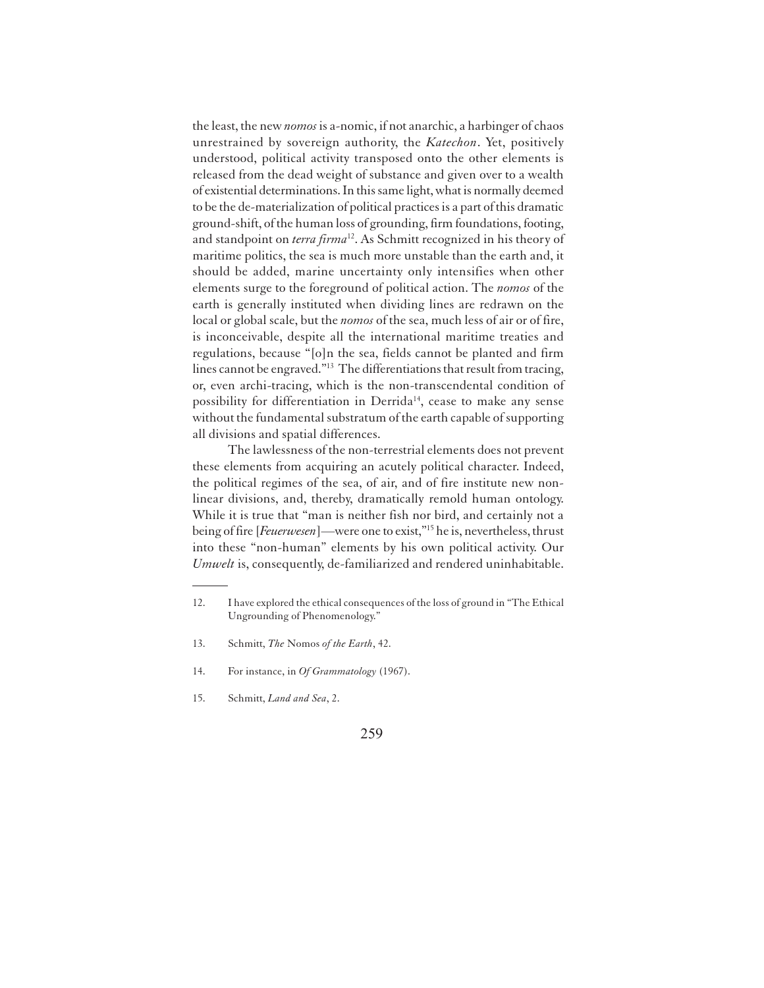the least, the new *nomos* is a-nomic, if not anarchic, a harbinger of chaos unrestrained by sovereign authority, the *Katechon*. Yet, positively understood, political activity transposed onto the other elements is released from the dead weight of substance and given over to a wealth of existential determinations. In this same light, what is normally deemed to be the de-materialization of political practices is a part of this dramatic ground-shift, of the human loss of grounding, firm foundations, footing, and standpoint on *terra firma*<sup>12</sup>. As Schmitt recognized in his theory of maritime politics, the sea is much more unstable than the earth and, it should be added, marine uncertainty only intensifies when other elements surge to the foreground of political action. The *nomos* of the earth is generally instituted when dividing lines are redrawn on the local or global scale, but the *nomos* of the sea, much less of air or of fire, is inconceivable, despite all the international maritime treaties and regulations, because "[o]n the sea, fields cannot be planted and firm lines cannot be engraved."<sup>13</sup> The differentiations that result from tracing, or, even archi-tracing, which is the non-transcendental condition of possibility for differentiation in Derrida<sup>14</sup>, cease to make any sense without the fundamental substratum of the earth capable of supporting all divisions and spatial differences.

The lawlessness of the non-terrestrial elements does not prevent these elements from acquiring an acutely political character. Indeed, the political regimes of the sea, of air, and of fire institute new nonlinear divisions, and, thereby, dramatically remold human ontology. While it is true that "man is neither fish nor bird, and certainly not a being of fire [*Feuerwesen*]—were one to exist,"<sup>15</sup> he is, nevertheless, thrust into these "non-human" elements by his own political activity. Our *Umwelt* is, consequently, de-familiarized and rendered uninhabitable.

- 13. Schmitt, *The* Nomos *of the Earth*, 42.
- 14. For instance, in *Of Grammatology* (1967).
- 15. Schmitt, *Land and Sea*, 2.

<sup>12.</sup> I have explored the ethical consequences of the loss of ground in "The Ethical Ungrounding of Phenomenology."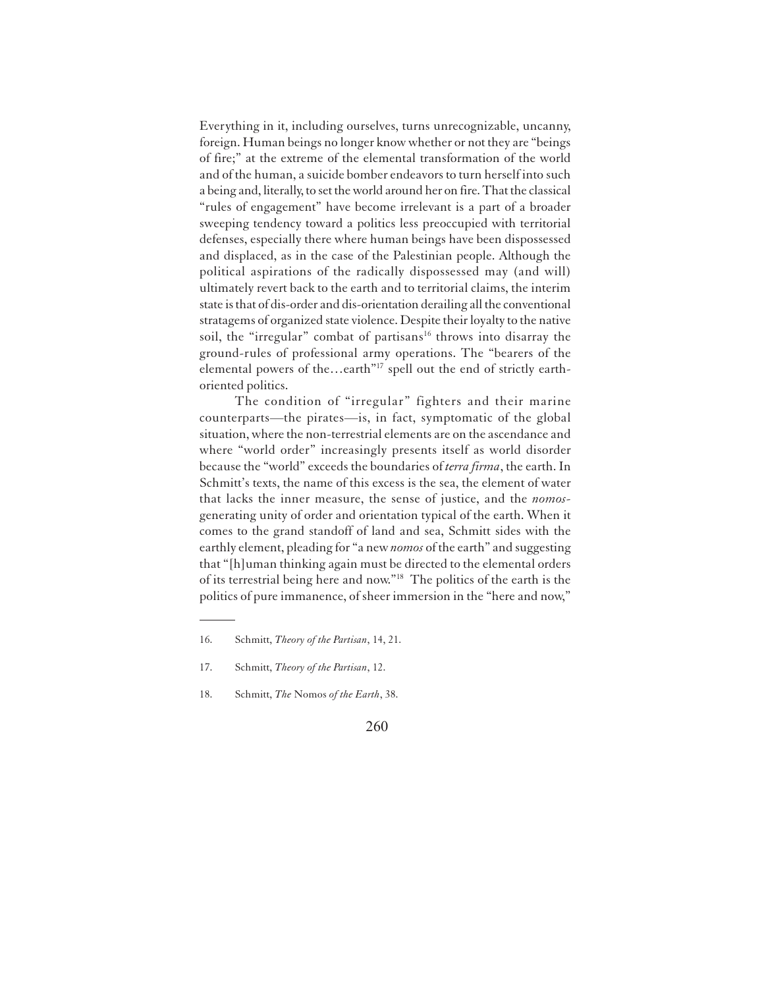Everything in it, including ourselves, turns unrecognizable, uncanny, foreign. Human beings no longer know whether or not they are "beings of fire;" at the extreme of the elemental transformation of the world and of the human, a suicide bomber endeavors to turn herself into such a being and, literally, to set the world around her on fire. That the classical "rules of engagement" have become irrelevant is a part of a broader sweeping tendency toward a politics less preoccupied with territorial defenses, especially there where human beings have been dispossessed and displaced, as in the case of the Palestinian people. Although the political aspirations of the radically dispossessed may (and will) ultimately revert back to the earth and to territorial claims, the interim state is that of dis-order and dis-orientation derailing all the conventional stratagems of organized state violence. Despite their loyalty to the native soil, the "irregular" combat of partisans<sup>16</sup> throws into disarray the ground-rules of professional army operations. The "bearers of the elemental powers of the...earth"<sup>17</sup> spell out the end of strictly earthoriented politics.

The condition of "irregular" fighters and their marine counterparts—the pirates—is, in fact, symptomatic of the global situation, where the non-terrestrial elements are on the ascendance and where "world order" increasingly presents itself as world disorder because the "world" exceeds the boundaries of *terra firma*, the earth. In Schmitt's texts, the name of this excess is the sea, the element of water that lacks the inner measure, the sense of justice, and the *nomos*generating unity of order and orientation typical of the earth. When it comes to the grand standoff of land and sea, Schmitt sides with the earthly element, pleading for "a new *nomos* of the earth" and suggesting that "[h]uman thinking again must be directed to the elemental orders of its terrestrial being here and now."<sup>18</sup> The politics of the earth is the politics of pure immanence, of sheer immersion in the "here and now,"

<sup>16.</sup> Schmitt, *Theory of the Partisan*, 14, 21.

<sup>17.</sup> Schmitt, *Theory of the Partisan*, 12.

<sup>18.</sup> Schmitt, *The* Nomos *of the Earth*, 38.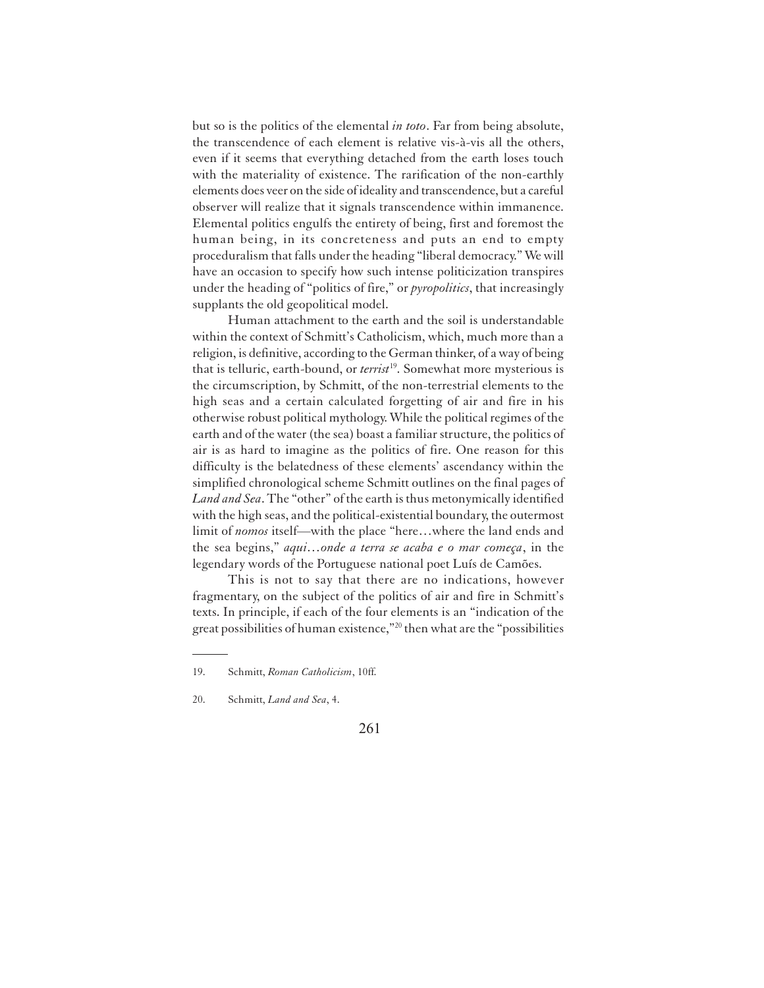but so is the politics of the elemental *in toto*. Far from being absolute, the transcendence of each element is relative vis-à-vis all the others, even if it seems that everything detached from the earth loses touch with the materiality of existence. The rarification of the non-earthly elements does veer on the side of ideality and transcendence, but a careful observer will realize that it signals transcendence within immanence. Elemental politics engulfs the entirety of being, first and foremost the human being, in its concreteness and puts an end to empty proceduralism that falls under the heading "liberal democracy." We will have an occasion to specify how such intense politicization transpires under the heading of "politics of fire," or *pyropolitics*, that increasingly supplants the old geopolitical model.

Human attachment to the earth and the soil is understandable within the context of Schmitt's Catholicism, which, much more than a religion, is definitive, according to the German thinker, of a way of being that is telluric, earth-bound, or *terrist*<sup>19</sup>. Somewhat more mysterious is the circumscription, by Schmitt, of the non-terrestrial elements to the high seas and a certain calculated forgetting of air and fire in his otherwise robust political mythology. While the political regimes of the earth and of the water (the sea) boast a familiar structure, the politics of air is as hard to imagine as the politics of fire. One reason for this difficulty is the belatedness of these elements' ascendancy within the simplified chronological scheme Schmitt outlines on the final pages of *Land and Sea*. The "other" of the earth is thus metonymically identified with the high seas, and the political-existential boundary, the outermost limit of *nomos* itself—with the place "here…where the land ends and the sea begins," *aqui…onde a terra se acaba e o mar começa*, in the legendary words of the Portuguese national poet Luís de Camões.

This is not to say that there are no indications, however fragmentary, on the subject of the politics of air and fire in Schmitt's texts. In principle, if each of the four elements is an "indication of the great possibilities of human existence,"<sup>20</sup> then what are the "possibilities

<sup>19.</sup> Schmitt, *Roman Catholicism*, 10ff.

<sup>20.</sup> Schmitt, *Land and Sea*, 4.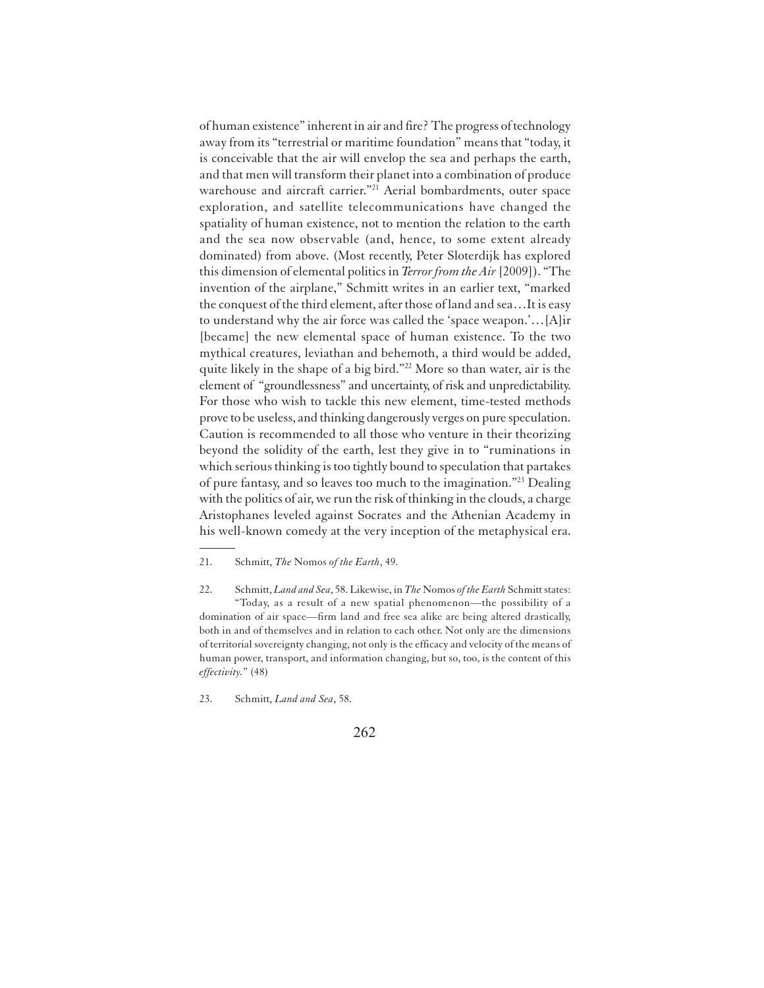of human existence" inherent in air and fire? The progress of technology away from its "terrestrial or maritime foundation" means that "today, it is conceivable that the air will envelop the sea and perhaps the earth, and that men will transform their planet into a combination of produce warehouse and aircraft carrier."<sup>21</sup> Aerial bombardments, outer space exploration, and satellite telecommunications have changed the spatiality of human existence, not to mention the relation to the earth and the sea now observable (and, hence, to some extent already dominated) from above. (Most recently, Peter Sloterdijk has explored this dimension of elemental politics in *Terror from the Air* [2009]). "The invention of the airplane," Schmitt writes in an earlier text, "marked the conquest of the third element, after those of land and sea…It is easy to understand why the air force was called the 'space weapon.'…[A]ir [became] the new elemental space of human existence. To the two mythical creatures, leviathan and behemoth, a third would be added, quite likely in the shape of a big bird."<sup>22</sup> More so than water, air is the element of "groundlessness" and uncertainty, of risk and unpredictability. For those who wish to tackle this new element, time-tested methods prove to be useless, and thinking dangerously verges on pure speculation. Caution is recommended to all those who venture in their theorizing beyond the solidity of the earth, lest they give in to "ruminations in which serious thinking is too tightly bound to speculation that partakes of pure fantasy, and so leaves too much to the imagination."<sup>23</sup> Dealing with the politics of air, we run the risk of thinking in the clouds, a charge Aristophanes leveled against Socrates and the Athenian Academy in his well-known comedy at the very inception of the metaphysical era.

22. Schmitt, *Land and Sea*, 58. Likewise, in *The* Nomos *of the Earth* Schmitt states: "Today, as a result of a new spatial phenomenon—the possibility of a domination of air space—firm land and free sea alike are being altered drastically, both in and of themselves and in relation to each other. Not only are the dimensions of territorial sovereignty changing, not only is the efficacy and velocity of the means of human power, transport, and information changing, but so, too, is the content of this *effectivity.*" (48)

23. Schmitt, *Land and Sea*, 58.

<sup>21.</sup> Schmitt, *The* Nomos *of the Earth*, 49.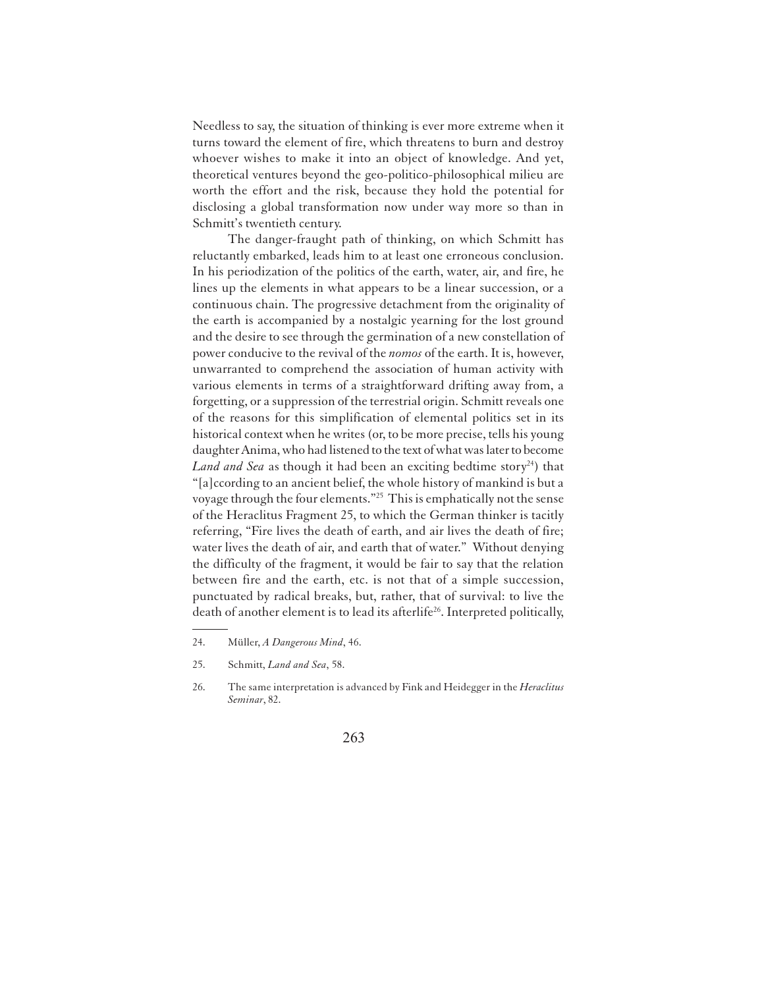Needless to say, the situation of thinking is ever more extreme when it turns toward the element of fire, which threatens to burn and destroy whoever wishes to make it into an object of knowledge. And yet, theoretical ventures beyond the geo-politico-philosophical milieu are worth the effort and the risk, because they hold the potential for disclosing a global transformation now under way more so than in Schmitt's twentieth century.

The danger-fraught path of thinking, on which Schmitt has reluctantly embarked, leads him to at least one erroneous conclusion. In his periodization of the politics of the earth, water, air, and fire, he lines up the elements in what appears to be a linear succession, or a continuous chain. The progressive detachment from the originality of the earth is accompanied by a nostalgic yearning for the lost ground and the desire to see through the germination of a new constellation of power conducive to the revival of the *nomos* of the earth. It is, however, unwarranted to comprehend the association of human activity with various elements in terms of a straightforward drifting away from, a forgetting, or a suppression of the terrestrial origin. Schmitt reveals one of the reasons for this simplification of elemental politics set in its historical context when he writes (or, to be more precise, tells his young daughter Anima, who had listened to the text of what was later to become Land and Sea as though it had been an exciting bedtime story<sup>24</sup>) that "[a]ccording to an ancient belief, the whole history of mankind is but a voyage through the four elements."<sup>25</sup> This is emphatically not the sense of the Heraclitus Fragment 25, to which the German thinker is tacitly referring, "Fire lives the death of earth, and air lives the death of fire; water lives the death of air, and earth that of water." Without denying the difficulty of the fragment, it would be fair to say that the relation between fire and the earth, etc. is not that of a simple succession, punctuated by radical breaks, but, rather, that of survival: to live the death of another element is to lead its afterlife<sup>26</sup>. Interpreted politically,

<sup>24.</sup> Müller, *A Dangerous Mind*, 46.

<sup>25.</sup> Schmitt, *Land and Sea*, 58.

<sup>26.</sup> The same interpretation is advanced by Fink and Heidegger in the *Heraclitus Seminar*, 82.

<sup>263</sup>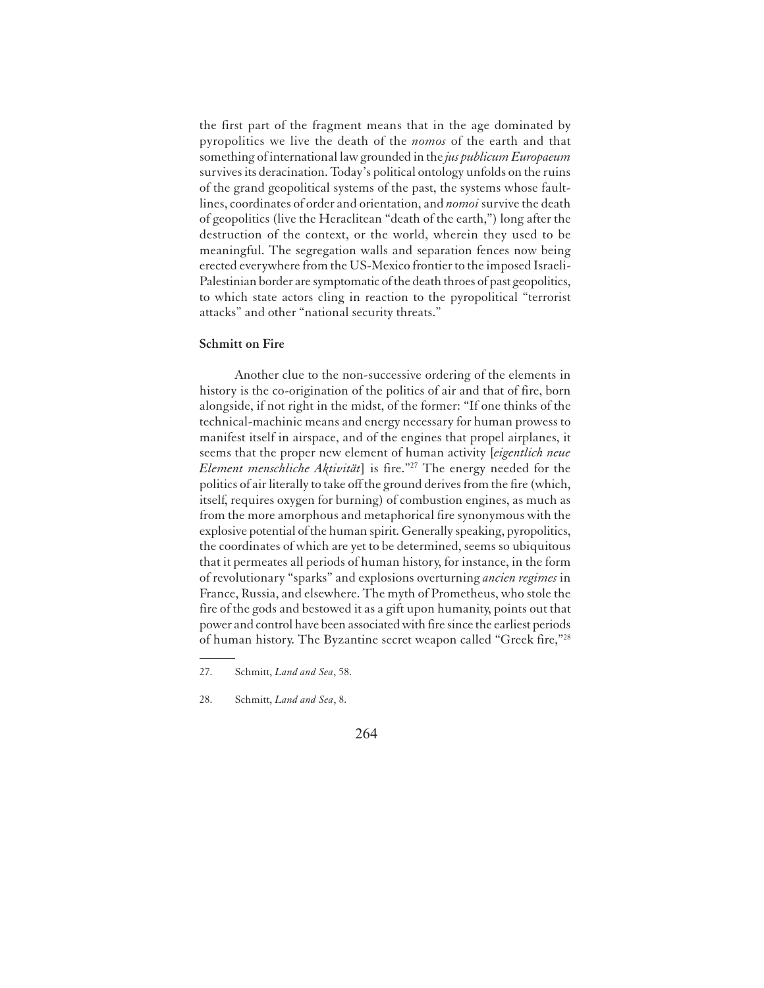the first part of the fragment means that in the age dominated by pyropolitics we live the death of the *nomos* of the earth and that something of international law grounded in the *jus publicum Europaeum* survives its deracination.Today's political ontology unfolds on the ruins of the grand geopolitical systems of the past, the systems whose faultlines, coordinates of order and orientation, and *nomoi* survive the death of geopolitics (live the Heraclitean "death of the earth,") long after the destruction of the context, or the world, wherein they used to be meaningful. The segregation walls and separation fences now being erected everywhere from the US-Mexico frontier to the imposed Israeli-Palestinian border are symptomatic of the death throes of past geopolitics, to which state actors cling in reaction to the pyropolitical "terrorist attacks" and other "national security threats."

## **Schmitt on Fire**

Another clue to the non-successive ordering of the elements in history is the co-origination of the politics of air and that of fire, born alongside, if not right in the midst, of the former: "If one thinks of the technical-machinic means and energy necessary for human prowess to manifest itself in airspace, and of the engines that propel airplanes, it seems that the proper new element of human activity [*eigentlich neue Element menschliche Aktivität*] is fire."<sup>27</sup> The energy needed for the politics of air literally to take off the ground derives from the fire (which, itself, requires oxygen for burning) of combustion engines, as much as from the more amorphous and metaphorical fire synonymous with the explosive potential of the human spirit. Generally speaking, pyropolitics, the coordinates of which are yet to be determined, seems so ubiquitous that it permeates all periods of human history, for instance, in the form of revolutionary "sparks" and explosions overturning *ancien regimes* in France, Russia, and elsewhere. The myth of Prometheus, who stole the fire of the gods and bestowed it as a gift upon humanity, points out that power and control have been associated with fire since the earliest periods of human history. The Byzantine secret weapon called "Greek fire,"<sup>28</sup>

<sup>27.</sup> Schmitt, *Land and Sea*, 58.

<sup>28.</sup> Schmitt, *Land and Sea*, 8.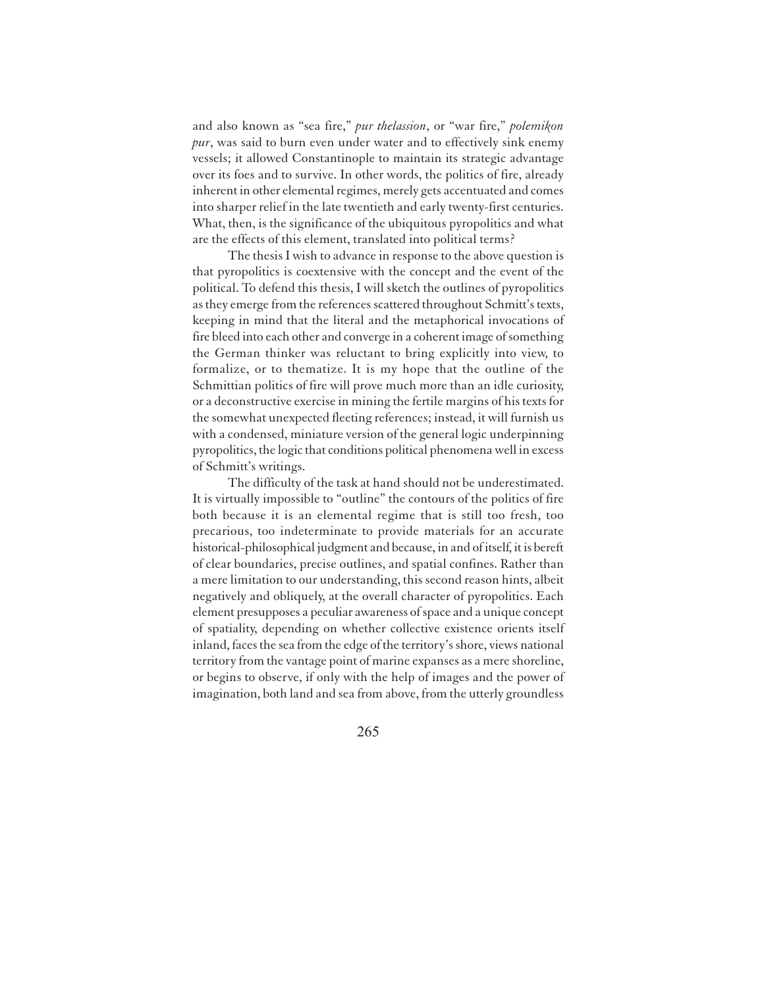and also known as "sea fire," *pur thelassion*, or "war fire," *polemikon pur*, was said to burn even under water and to effectively sink enemy vessels; it allowed Constantinople to maintain its strategic advantage over its foes and to survive. In other words, the politics of fire, already inherent in other elemental regimes, merely gets accentuated and comes into sharper relief in the late twentieth and early twenty-first centuries. What, then, is the significance of the ubiquitous pyropolitics and what are the effects of this element, translated into political terms?

The thesis I wish to advance in response to the above question is that pyropolitics is coextensive with the concept and the event of the political. To defend this thesis, I will sketch the outlines of pyropolitics as they emerge from the references scattered throughout Schmitt's texts, keeping in mind that the literal and the metaphorical invocations of fire bleed into each other and converge in a coherent image of something the German thinker was reluctant to bring explicitly into view, to formalize, or to thematize. It is my hope that the outline of the Schmittian politics of fire will prove much more than an idle curiosity, or a deconstructive exercise in mining the fertile margins of his texts for the somewhat unexpected fleeting references; instead, it will furnish us with a condensed, miniature version of the general logic underpinning pyropolitics, the logic that conditions political phenomena well in excess of Schmitt's writings.

The difficulty of the task at hand should not be underestimated. It is virtually impossible to "outline" the contours of the politics of fire both because it is an elemental regime that is still too fresh, too precarious, too indeterminate to provide materials for an accurate historical-philosophical judgment and because, in and of itself, it is bereft of clear boundaries, precise outlines, and spatial confines. Rather than a mere limitation to our understanding, this second reason hints, albeit negatively and obliquely, at the overall character of pyropolitics. Each element presupposes a peculiar awareness of space and a unique concept of spatiality, depending on whether collective existence orients itself inland, faces the sea from the edge of the territory's shore, views national territory from the vantage point of marine expanses as a mere shoreline, or begins to observe, if only with the help of images and the power of imagination, both land and sea from above, from the utterly groundless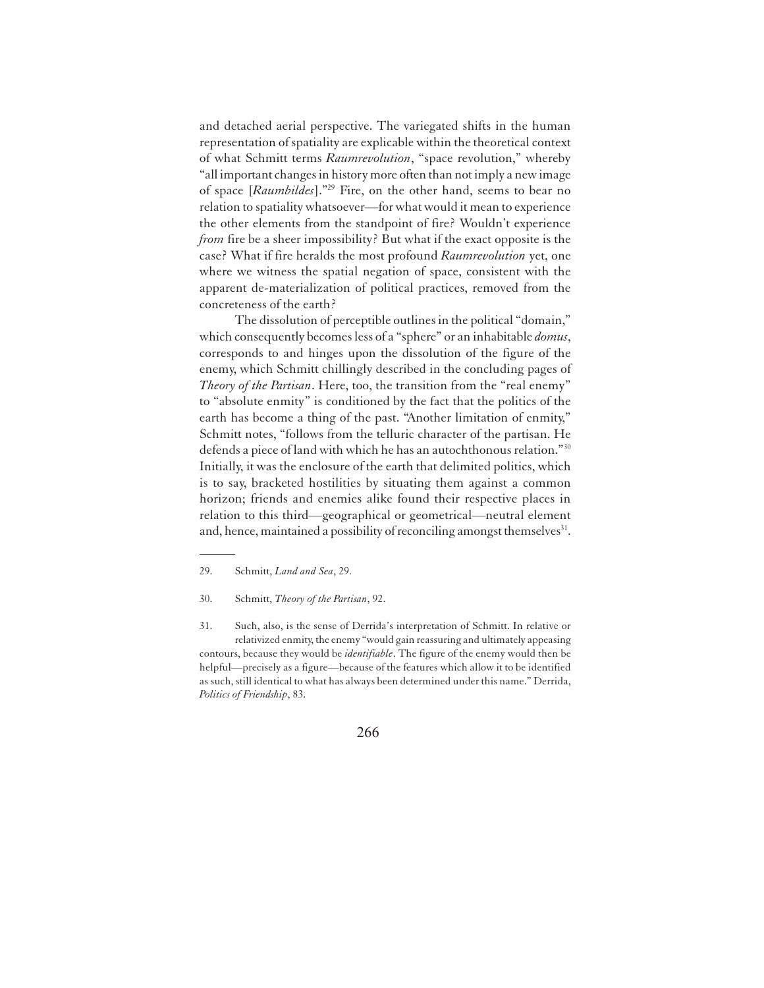and detached aerial perspective. The variegated shifts in the human representation of spatiality are explicable within the theoretical context of what Schmitt terms *Raumrevolution*, "space revolution," whereby "all important changes in history more often than not imply a new image of space [*Raumbildes*]."<sup>29</sup> Fire, on the other hand, seems to bear no relation to spatiality whatsoever—for what would it mean to experience the other elements from the standpoint of fire? Wouldn't experience *from* fire be a sheer impossibility? But what if the exact opposite is the case? What if fire heralds the most profound *Raumrevolution* yet, one where we witness the spatial negation of space, consistent with the apparent de-materialization of political practices, removed from the concreteness of the earth?

The dissolution of perceptible outlines in the political "domain," which consequently becomes less of a "sphere" or an inhabitable *domus*, corresponds to and hinges upon the dissolution of the figure of the enemy, which Schmitt chillingly described in the concluding pages of *Theory of the Partisan*. Here, too, the transition from the "real enemy" to "absolute enmity" is conditioned by the fact that the politics of the earth has become a thing of the past. "Another limitation of enmity," Schmitt notes, "follows from the telluric character of the partisan. He defends a piece of land with which he has an autochthonous relation."<sup>30</sup> Initially, it was the enclosure of the earth that delimited politics, which is to say, bracketed hostilities by situating them against a common horizon; friends and enemies alike found their respective places in relation to this third—geographical or geometrical—neutral element and, hence, maintained a possibility of reconciling amongst themselves<sup>31</sup>.

31. Such, also, is the sense of Derrida's interpretation of Schmitt. In relative or relativized enmity, the enemy "would gain reassuring and ultimately appeasing contours, because they would be *identifiable*. The figure of the enemy would then be helpful—precisely as a figure—because of the features which allow it to be identified as such, still identical to what has always been determined under this name." Derrida, *Politics of Friendship*, 83.

<sup>29.</sup> Schmitt, *Land and Sea*, 29.

<sup>30.</sup> Schmitt, *Theory of the Partisan*, 92.

<sup>266</sup>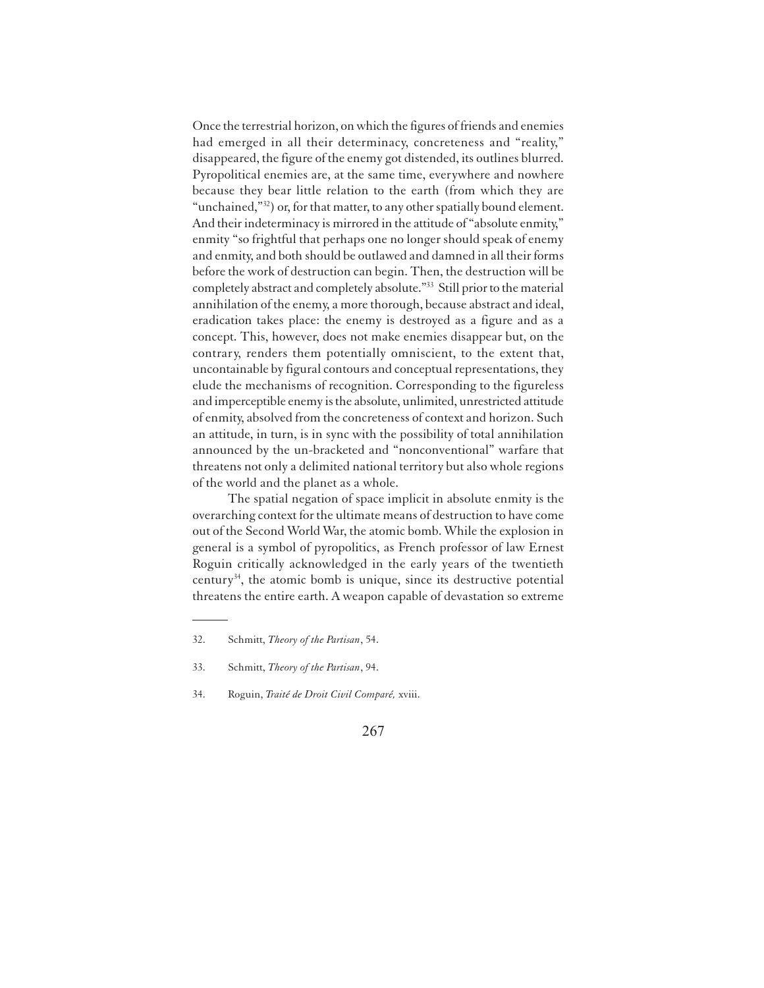Once the terrestrial horizon, on which the figures of friends and enemies had emerged in all their determinacy, concreteness and "reality," disappeared, the figure of the enemy got distended, its outlines blurred. Pyropolitical enemies are, at the same time, everywhere and nowhere because they bear little relation to the earth (from which they are "unchained,"<sup>32</sup>) or, for that matter, to any other spatially bound element. And their indeterminacy is mirrored in the attitude of "absolute enmity," enmity "so frightful that perhaps one no longer should speak of enemy and enmity, and both should be outlawed and damned in all their forms before the work of destruction can begin. Then, the destruction will be completely abstract and completely absolute."<sup>33</sup> Still prior to the material annihilation of the enemy, a more thorough, because abstract and ideal, eradication takes place: the enemy is destroyed as a figure and as a concept. This, however, does not make enemies disappear but, on the contrary, renders them potentially omniscient, to the extent that, uncontainable by figural contours and conceptual representations, they elude the mechanisms of recognition. Corresponding to the figureless and imperceptible enemy is the absolute, unlimited, unrestricted attitude of enmity, absolved from the concreteness of context and horizon. Such an attitude, in turn, is in sync with the possibility of total annihilation announced by the un-bracketed and "nonconventional" warfare that threatens not only a delimited national territory but also whole regions of the world and the planet as a whole.

The spatial negation of space implicit in absolute enmity is the overarching context for the ultimate means of destruction to have come out of the Second World War, the atomic bomb. While the explosion in general is a symbol of pyropolitics, as French professor of law Ernest Roguin critically acknowledged in the early years of the twentieth century<sup>34</sup>, the atomic bomb is unique, since its destructive potential threatens the entire earth. A weapon capable of devastation so extreme

<sup>32.</sup> Schmitt, *Theory of the Partisan*, 54.

<sup>33.</sup> Schmitt, *Theory of the Partisan*, 94.

<sup>34.</sup> Roguin, *Traité de Droit Civil Comparé,* xviii.

<sup>267</sup>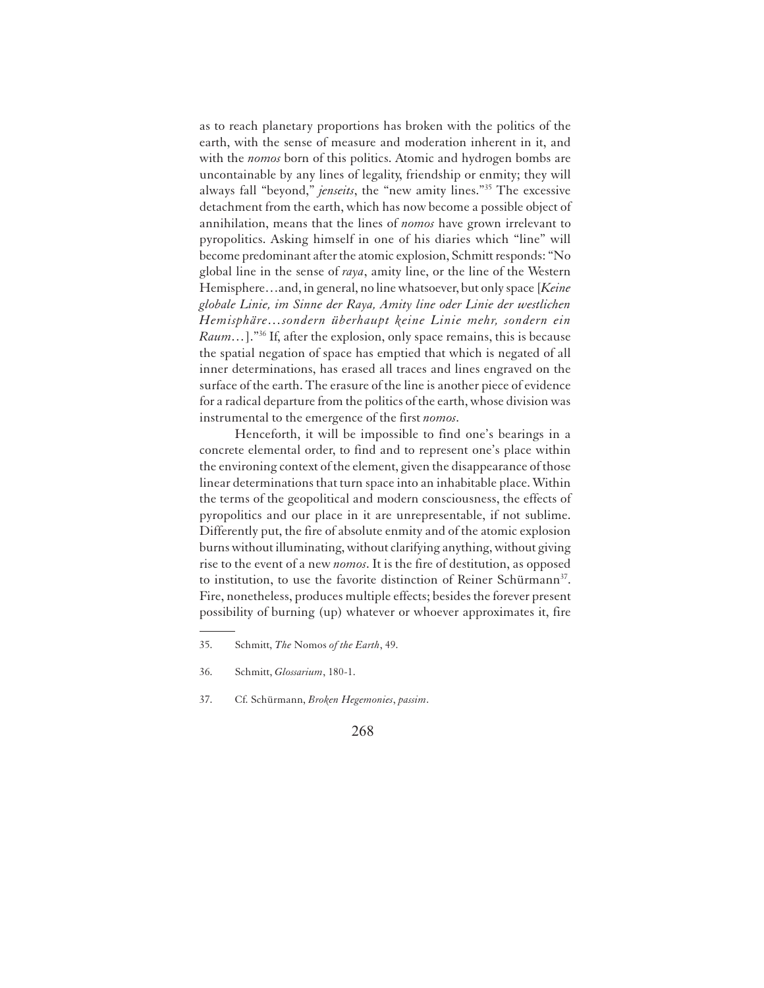as to reach planetary proportions has broken with the politics of the earth, with the sense of measure and moderation inherent in it, and with the *nomos* born of this politics. Atomic and hydrogen bombs are uncontainable by any lines of legality, friendship or enmity; they will always fall "beyond," *jenseits*, the "new amity lines."<sup>35</sup> The excessive detachment from the earth, which has now become a possible object of annihilation, means that the lines of *nomos* have grown irrelevant to pyropolitics. Asking himself in one of his diaries which "line" will become predominant after the atomic explosion, Schmitt responds: "No global line in the sense of *raya*, amity line, or the line of the Western Hemisphere…and, in general, no line whatsoever, but only space [*Keine globale Linie, im Sinne der Raya, Amity line oder Linie der westlichen Hemisphäre…sondern überhaupt keine Linie mehr, sondern ein Raum*...]."<sup>36</sup> If, after the explosion, only space remains, this is because the spatial negation of space has emptied that which is negated of all inner determinations, has erased all traces and lines engraved on the surface of the earth. The erasure of the line is another piece of evidence for a radical departure from the politics of the earth, whose division was instrumental to the emergence of the first *nomos*.

Henceforth, it will be impossible to find one's bearings in a concrete elemental order, to find and to represent one's place within the environing context of the element, given the disappearance of those linear determinations that turn space into an inhabitable place. Within the terms of the geopolitical and modern consciousness, the effects of pyropolitics and our place in it are unrepresentable, if not sublime. Differently put, the fire of absolute enmity and of the atomic explosion burns without illuminating, without clarifying anything, without giving rise to the event of a new *nomos*. It is the fire of destitution, as opposed to institution, to use the favorite distinction of Reiner Schürmann<sup>37</sup>. Fire, nonetheless, produces multiple effects; besides the forever present possibility of burning (up) whatever or whoever approximates it, fire

<sup>35.</sup> Schmitt, *The* Nomos *of the Earth*, 49.

<sup>36.</sup> Schmitt, *Glossarium*, 180-1.

<sup>37.</sup> Cf. Schürmann, *Broken Hegemonies*, *passim*.

<sup>268</sup>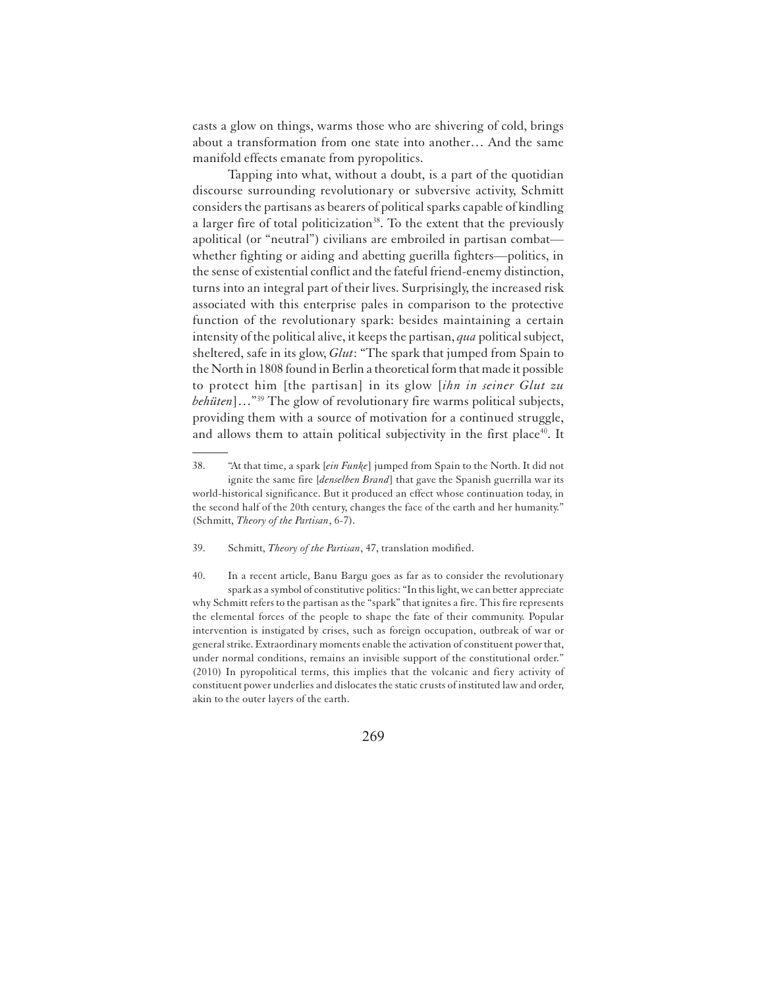casts a glow on things, warms those who are shivering of cold, brings about a transformation from one state into another… And the same manifold effects emanate from pyropolitics.

Tapping into what, without a doubt, is a part of the quotidian discourse surrounding revolutionary or subversive activity, Schmitt considers the partisans as bearers of political sparks capable of kindling a larger fire of total politicization<sup>38</sup>. To the extent that the previously apolitical (or "neutral") civilians are embroiled in partisan combat whether fighting or aiding and abetting guerilla fighters—politics, in the sense of existential conflict and the fateful friend-enemy distinction, turns into an integral part of their lives. Surprisingly, the increased risk associated with this enterprise pales in comparison to the protective function of the revolutionary spark: besides maintaining a certain intensity of the political alive, it keeps the partisan, *qua* political subject, sheltered, safe in its glow, *Glut*: "The spark that jumped from Spain to the North in 1808 found in Berlin a theoretical form that made it possible to protect him [the partisan] in its glow [*ihn in seiner Glut zu behüten*]…"<sup>39</sup> The glow of revolutionary fire warms political subjects, providing them with a source of motivation for a continued struggle, and allows them to attain political subjectivity in the first place<sup>40</sup>. It

39. Schmitt, *Theory of the Partisan*, 47, translation modified.

40. In a recent article, Banu Bargu goes as far as to consider the revolutionary spark as a symbol of constitutive politics: "In this light, we can better appreciate why Schmitt refers to the partisan as the "spark" that ignites a fire. This fire represents the elemental forces of the people to shape the fate of their community. Popular intervention is instigated by crises, such as foreign occupation, outbreak of war or general strike. Extraordinary moments enable the activation of constituent power that, under normal conditions, remains an invisible support of the constitutional order." (2010) In pyropolitical terms, this implies that the volcanic and fiery activity of constituent power underlies and dislocates the static crusts of instituted law and order, akin to the outer layers of the earth.

<sup>38.</sup> "At that time, a spark [*ein Funke*] jumped from Spain to the North. It did not ignite the same fire [*denselben Brand*] that gave the Spanish guerrilla war its world-historical significance. But it produced an effect whose continuation today, in the second half of the 20th century, changes the face of the earth and her humanity." (Schmitt, *Theory of the Partisan*, 6-7).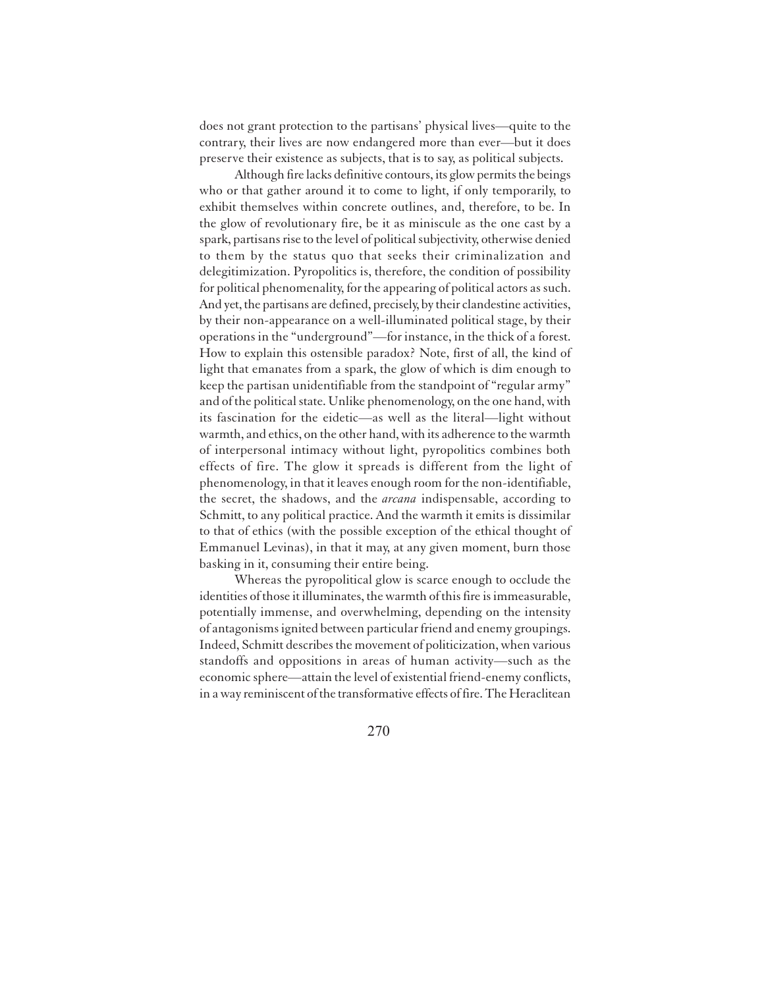does not grant protection to the partisans' physical lives—quite to the contrary, their lives are now endangered more than ever—but it does preserve their existence as subjects, that is to say, as political subjects.

Although fire lacks definitive contours, its glow permits the beings who or that gather around it to come to light, if only temporarily, to exhibit themselves within concrete outlines, and, therefore, to be. In the glow of revolutionary fire, be it as miniscule as the one cast by a spark, partisans rise to the level of political subjectivity, otherwise denied to them by the status quo that seeks their criminalization and delegitimization. Pyropolitics is, therefore, the condition of possibility for political phenomenality, for the appearing of political actors as such. And yet, the partisans are defined, precisely, by their clandestine activities, by their non-appearance on a well-illuminated political stage, by their operations in the "underground"—for instance, in the thick of a forest. How to explain this ostensible paradox? Note, first of all, the kind of light that emanates from a spark, the glow of which is dim enough to keep the partisan unidentifiable from the standpoint of "regular army" and of the political state. Unlike phenomenology, on the one hand, with its fascination for the eidetic—as well as the literal—light without warmth, and ethics, on the other hand, with its adherence to the warmth of interpersonal intimacy without light, pyropolitics combines both effects of fire. The glow it spreads is different from the light of phenomenology, in that it leaves enough room for the non-identifiable, the secret, the shadows, and the *arcana* indispensable, according to Schmitt, to any political practice. And the warmth it emits is dissimilar to that of ethics (with the possible exception of the ethical thought of Emmanuel Levinas), in that it may, at any given moment, burn those basking in it, consuming their entire being.

Whereas the pyropolitical glow is scarce enough to occlude the identities of those it illuminates, the warmth of this fire is immeasurable, potentially immense, and overwhelming, depending on the intensity of antagonisms ignited between particular friend and enemy groupings. Indeed, Schmitt describes the movement of politicization, when various standoffs and oppositions in areas of human activity—such as the economic sphere—attain the level of existential friend-enemy conflicts, in a way reminiscent of the transformative effects of fire. The Heraclitean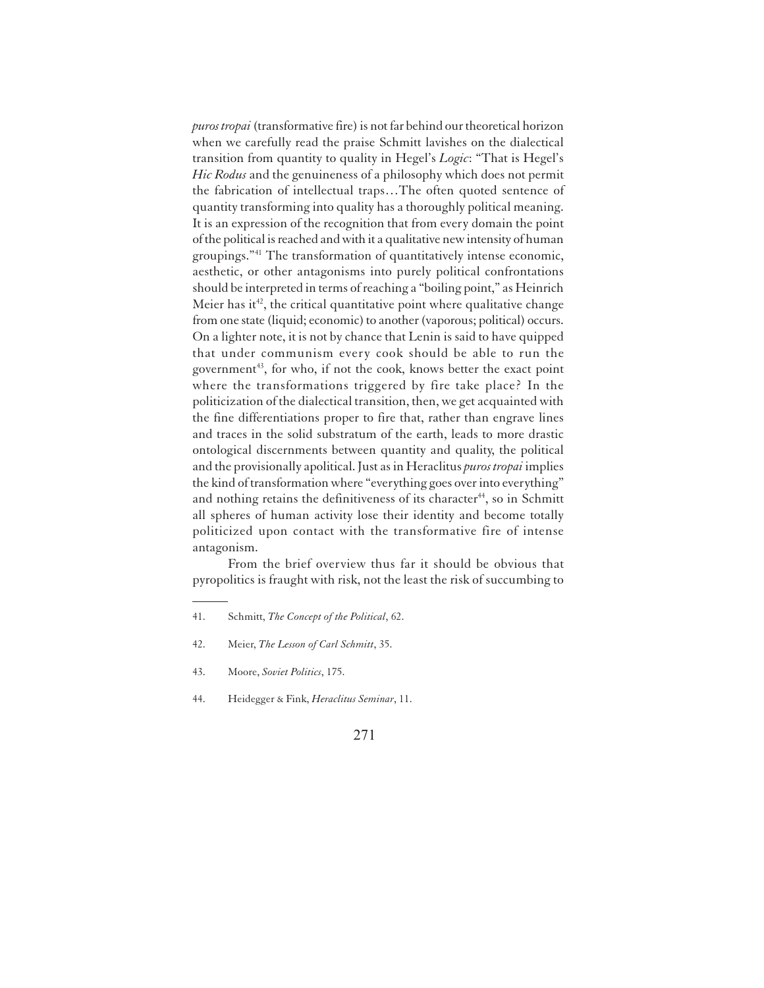*puros tropai* (transformative fire) is not far behind our theoretical horizon when we carefully read the praise Schmitt lavishes on the dialectical transition from quantity to quality in Hegel's *Logic*: "That is Hegel's *Hic Rodus* and the genuineness of a philosophy which does not permit the fabrication of intellectual traps…The often quoted sentence of quantity transforming into quality has a thoroughly political meaning. It is an expression of the recognition that from every domain the point of the political is reached and with it a qualitative new intensity of human groupings."<sup>41</sup> The transformation of quantitatively intense economic, aesthetic, or other antagonisms into purely political confrontations should be interpreted in terms of reaching a "boiling point," as Heinrich Meier has it<sup>42</sup>, the critical quantitative point where qualitative change from one state (liquid; economic) to another (vaporous; political) occurs. On a lighter note, it is not by chance that Lenin is said to have quipped that under communism every cook should be able to run the government<sup>43</sup>, for who, if not the cook, knows better the exact point where the transformations triggered by fire take place? In the politicization of the dialectical transition, then, we get acquainted with the fine differentiations proper to fire that, rather than engrave lines and traces in the solid substratum of the earth, leads to more drastic ontological discernments between quantity and quality, the political and the provisionally apolitical. Just as in Heraclitus *puros tropai* implies the kind of transformation where "everything goes over into everything" and nothing retains the definitiveness of its character<sup>44</sup>, so in Schmitt all spheres of human activity lose their identity and become totally politicized upon contact with the transformative fire of intense antagonism.

From the brief overview thus far it should be obvious that pyropolitics is fraught with risk, not the least the risk of succumbing to

<sup>41.</sup> Schmitt, *The Concept of the Political*, 62.

<sup>42.</sup> Meier, *The Lesson of Carl Schmitt*, 35.

<sup>43.</sup> Moore, *Soviet Politics*, 175.

<sup>44.</sup> Heidegger & Fink, *Heraclitus Seminar*, 11.

<sup>271</sup>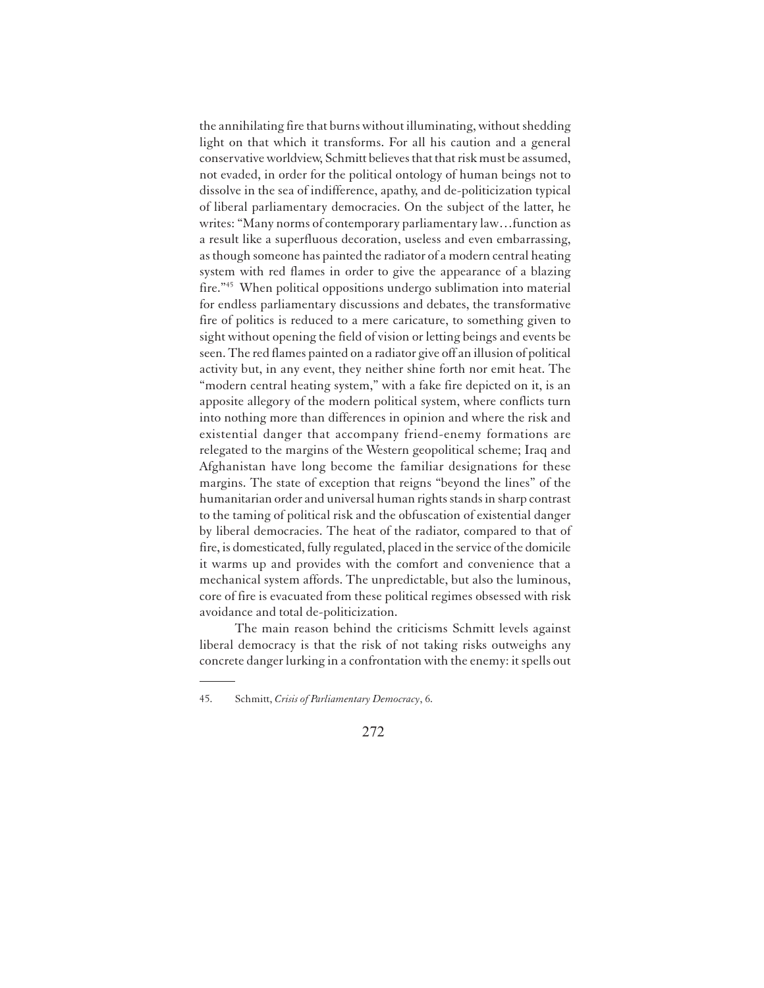the annihilating fire that burns without illuminating, without shedding light on that which it transforms. For all his caution and a general conservative worldview, Schmitt believes that that risk must be assumed, not evaded, in order for the political ontology of human beings not to dissolve in the sea of indifference, apathy, and de-politicization typical of liberal parliamentary democracies. On the subject of the latter, he writes: "Many norms of contemporary parliamentary law…function as a result like a superfluous decoration, useless and even embarrassing, as though someone has painted the radiator of a modern central heating system with red flames in order to give the appearance of a blazing fire."<sup>45</sup> When political oppositions undergo sublimation into material for endless parliamentary discussions and debates, the transformative fire of politics is reduced to a mere caricature, to something given to sight without opening the field of vision or letting beings and events be seen. The red flames painted on a radiator give off an illusion of political activity but, in any event, they neither shine forth nor emit heat. The "modern central heating system," with a fake fire depicted on it, is an apposite allegory of the modern political system, where conflicts turn into nothing more than differences in opinion and where the risk and existential danger that accompany friend-enemy formations are relegated to the margins of the Western geopolitical scheme; Iraq and Afghanistan have long become the familiar designations for these margins. The state of exception that reigns "beyond the lines" of the humanitarian order and universal human rights stands in sharp contrast to the taming of political risk and the obfuscation of existential danger by liberal democracies. The heat of the radiator, compared to that of fire, is domesticated, fully regulated, placed in the service of the domicile it warms up and provides with the comfort and convenience that a mechanical system affords. The unpredictable, but also the luminous, core of fire is evacuated from these political regimes obsessed with risk avoidance and total de-politicization.

The main reason behind the criticisms Schmitt levels against liberal democracy is that the risk of not taking risks outweighs any concrete danger lurking in a confrontation with the enemy: it spells out

<sup>45.</sup> Schmitt, *Crisis of Parliamentary Democracy*, 6.

<sup>272</sup>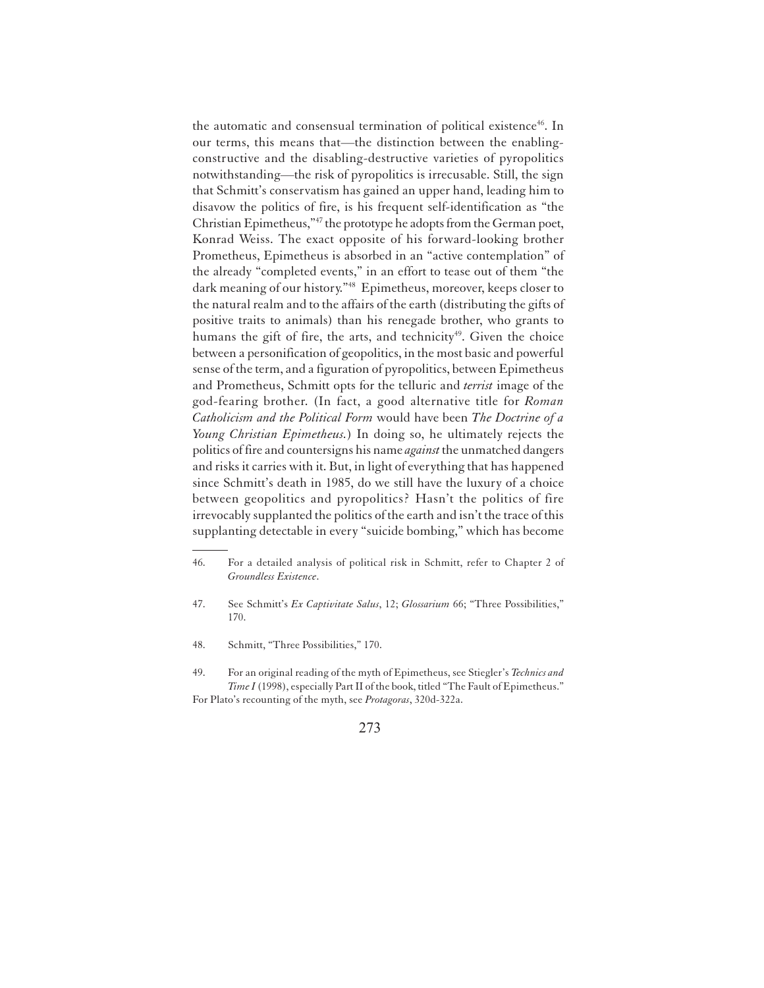the automatic and consensual termination of political existence<sup>46</sup>. In our terms, this means that—the distinction between the enablingconstructive and the disabling-destructive varieties of pyropolitics notwithstanding—the risk of pyropolitics is irrecusable. Still, the sign that Schmitt's conservatism has gained an upper hand, leading him to disavow the politics of fire, is his frequent self-identification as "the Christian Epimetheus,"<sup>47</sup> the prototype he adopts from the German poet, Konrad Weiss. The exact opposite of his forward-looking brother Prometheus, Epimetheus is absorbed in an "active contemplation" of the already "completed events," in an effort to tease out of them "the dark meaning of our history."<sup>48</sup> Epimetheus, moreover, keeps closer to the natural realm and to the affairs of the earth (distributing the gifts of positive traits to animals) than his renegade brother, who grants to humans the gift of fire, the arts, and technicity<sup>49</sup>. Given the choice between a personification of geopolitics, in the most basic and powerful sense of the term, and a figuration of pyropolitics, between Epimetheus and Prometheus, Schmitt opts for the telluric and *terrist* image of the god-fearing brother. (In fact, a good alternative title for *Roman Catholicism and the Political Form* would have been *The Doctrine of a Young Christian Epimetheus.*) In doing so, he ultimately rejects the politics of fire and countersigns his name *against* the unmatched dangers and risks it carries with it. But, in light of everything that has happened since Schmitt's death in 1985, do we still have the luxury of a choice between geopolitics and pyropolitics? Hasn't the politics of fire irrevocably supplanted the politics of the earth and isn't the trace of this supplanting detectable in every "suicide bombing," which has become

<sup>46.</sup> For a detailed analysis of political risk in Schmitt, refer to Chapter 2 of *Groundless Existence*.

<sup>47.</sup> See Schmitt's *Ex Captivitate Salus*, 12; *Glossarium* 66; "Three Possibilities," 170.

<sup>48.</sup> Schmitt, "Three Possibilities," 170.

<sup>49.</sup> For an original reading of the myth of Epimetheus, see Stiegler's *Technics and Time I* (1998), especially Part II of the book, titled "The Fault of Epimetheus." For Plato's recounting of the myth, see *Protagoras*, 320d-322a.

<sup>273</sup>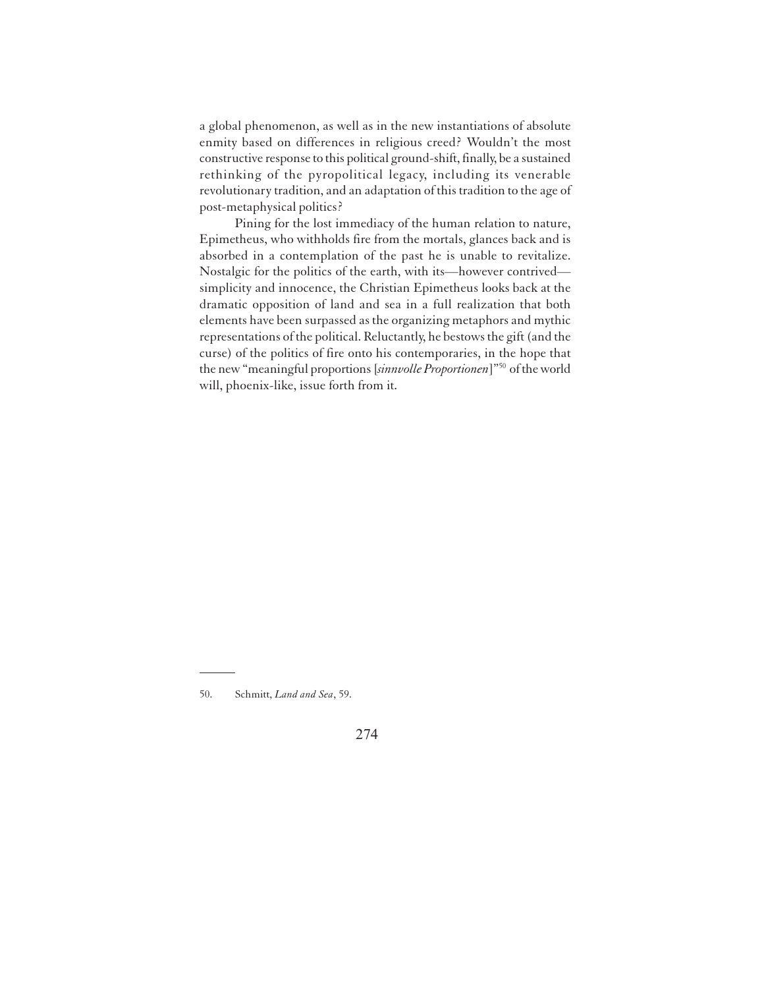a global phenomenon, as well as in the new instantiations of absolute enmity based on differences in religious creed? Wouldn't the most constructive response to this political ground-shift, finally, be a sustained rethinking of the pyropolitical legacy, including its venerable revolutionary tradition, and an adaptation of this tradition to the age of post-metaphysical politics?

Pining for the lost immediacy of the human relation to nature, Epimetheus, who withholds fire from the mortals, glances back and is absorbed in a contemplation of the past he is unable to revitalize. Nostalgic for the politics of the earth, with its—however contrived simplicity and innocence, the Christian Epimetheus looks back at the dramatic opposition of land and sea in a full realization that both elements have been surpassed as the organizing metaphors and mythic representations of the political. Reluctantly, he bestows the gift (and the curse) of the politics of fire onto his contemporaries, in the hope that the new "meaningful proportions [*sinnvolle Proportionen*]"<sup>50</sup> of the world will, phoenix-like, issue forth from it.

<sup>50.</sup> Schmitt, *Land and Sea*, 59.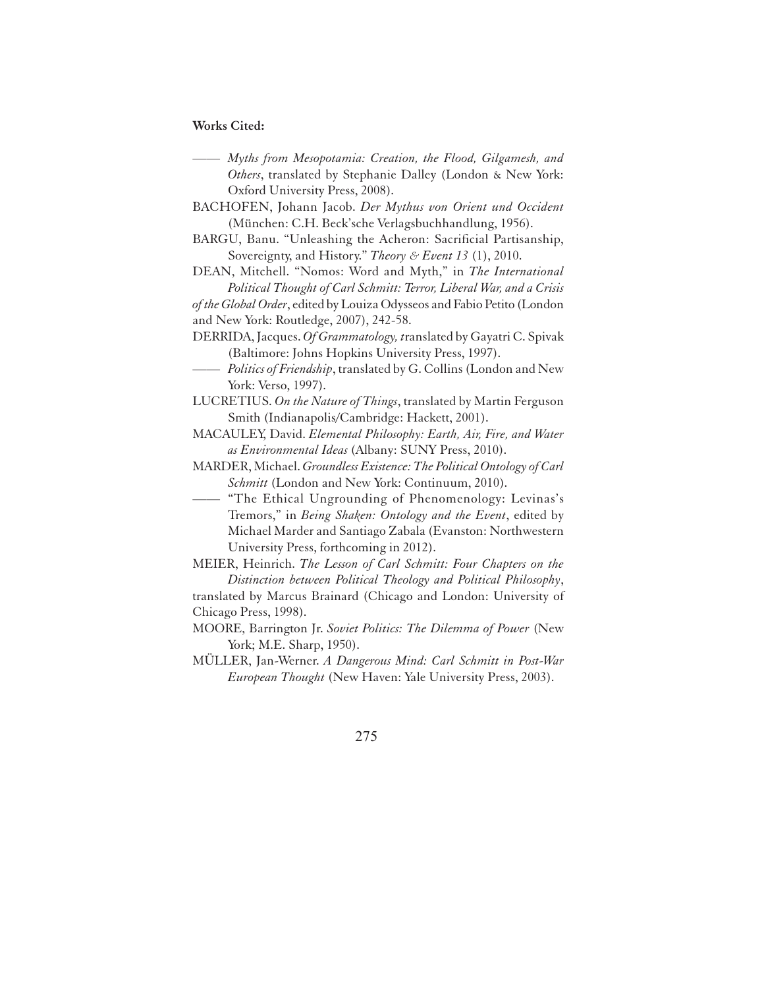#### **Works Cited:**

- —— *Myths from Mesopotamia: Creation, the Flood, Gilgamesh, and Others*, translated by Stephanie Dalley (London & New York: Oxford University Press, 2008).
- BACHOFEN, Johann Jacob. *Der Mythus von Orient und Occident* (München: C.H. Beck'sche Verlagsbuchhandlung, 1956).
- BARGU, Banu. "Unleashing the Acheron: Sacrificial Partisanship, Sovereignty, and History." *Theory & Event 13* (1), 2010.
- DEAN, Mitchell. "Nomos: Word and Myth," in *The International Political Thought of Carl Schmitt: Terror, Liberal War, and a Crisis*

*of the Global Order*, edited by Louiza Odysseos and Fabio Petito (London and New York: Routledge, 2007), 242-58.

- DERRIDA, Jacques. *Of Grammatology, t*ranslated by Gayatri C. Spivak (Baltimore: Johns Hopkins University Press, 1997).
- Politics of Friendship, translated by G. Collins (London and New York: Verso, 1997).
- LUCRETIUS. *On the Nature of Things*, translated by Martin Ferguson Smith (Indianapolis/Cambridge: Hackett, 2001).
- MACAULEY, David. *Elemental Philosophy: Earth, Air, Fire, and Water as Environmental Ideas* (Albany: SUNY Press, 2010).
- MARDER, Michael. *Groundless Existence: The Political Ontology of Carl Schmitt* (London and New York: Continuum, 2010).
- "The Ethical Ungrounding of Phenomenology: Levinas's Tremors," in *Being Shaken: Ontology and the Event*, edited by Michael Marder and Santiago Zabala (Evanston: Northwestern University Press, forthcoming in 2012).
- MEIER, Heinrich. *The Lesson of Carl Schmitt: Four Chapters on the Distinction between Political Theology and Political Philosophy*,

translated by Marcus Brainard (Chicago and London: University of Chicago Press, 1998).

- MOORE, Barrington Jr. *Soviet Politics: The Dilemma of Power* (New York; M.E. Sharp, 1950).
- MÜLLER, Jan-Werner. *A Dangerous Mind: Carl Schmitt in Post-War European Thought* (New Haven: Yale University Press, 2003).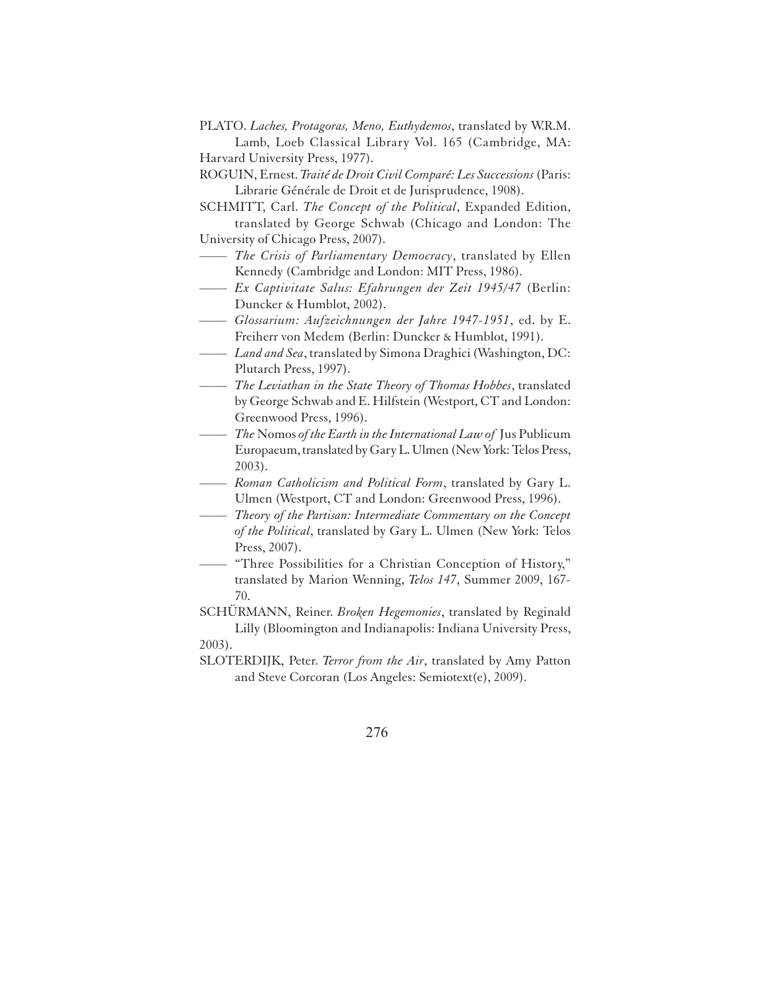PLATO. *Laches, Protagoras, Meno, Euthydemos*, translated by W.R.M. Lamb, Loeb Classical Library Vol. 165 (Cambridge, MA: Harvard University Press, 1977).

ROGUIN, Ernest. *Traité de Droit Civil Comparé: Les Successions* (Paris: Librarie Générale de Droit et de Jurisprudence, 1908).

SCHMITT, Carl. *The Concept of the Political*, Expanded Edition, translated by George Schwab (Chicago and London: The University of Chicago Press, 2007).

- —— *The Crisis of Parliamentary Democracy*, translated by Ellen Kennedy (Cambridge and London: MIT Press, 1986).
- —— *Ex Captivitate Salus: Efahrungen der Zeit 1945/47* (Berlin: Duncker & Humblot, 2002).
- *—— Glossarium: Aufzeichnungen der Jahre 1947-1951*, ed. by E. Freiherr von Medem (Berlin: Duncker & Humblot, 1991).
- —— *Land and Sea*, translated by Simona Draghici (Washington, DC: Plutarch Press, 1997).
- —— *The Leviathan in the State Theory of Thomas Hobbes*, translated by George Schwab and E. Hilfstein (Westport, CT and London: Greenwood Press, 1996).
- —— *The* Nomos *of the Earth in the International Law of* Jus Publicum Europaeum, translated by Gary L. Ulmen (New York: Telos Press, 2003).
- —— *Roman Catholicism and Political Form*, translated by Gary L. Ulmen (Westport, CT and London: Greenwood Press, 1996).
- —— *Theory of the Partisan: Intermediate Commentary on the Concept of the Political*, translated by Gary L. Ulmen (New York: Telos Press, 2007).
- —— "Three Possibilities for a Christian Conception of History," translated by Marion Wenning, *Telos 147*, Summer 2009, 167- 70.

SCHÜRMANN, Reiner. *Broken Hegemonies*, translated by Reginald Lilly (Bloomington and Indianapolis: Indiana University Press, 2003).

SLOTERDIJK, Peter. *Terror from the Air*, translated by Amy Patton and Steve Corcoran (Los Angeles: Semiotext(e), 2009).